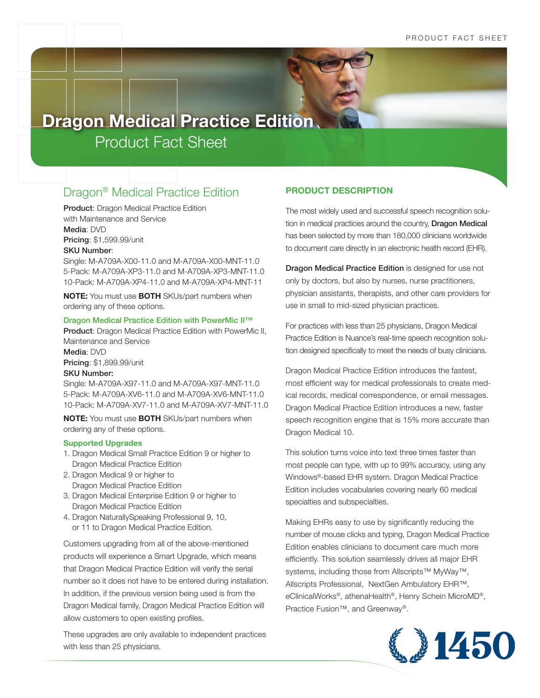# Dragon® Medical Practice Edition

Product: Dragon Medical Practice Edition with Maintenance and Service Media: DVD Pricing: \$1,599.99/unit SKU Number:

Single: M-A709A-X00-11.0 and M-A709A-X00-MNT-11.0 5-Pack: M-A709A-XP3-11.0 and M-A709A-XP3-MNT-11.0 10-Pack: M-A709A-XP4-11.0 and M-A709A-XP4-MNT-11

**NOTE:** You must use **BOTH** SKUs/part numbers when ordering any of these options.

#### Dragon Medical Practice Edition with PowerMic II™

Product: Dragon Medical Practice Edition with PowerMic II, Maintenance and Service Media: DVD Pricing: \$1,899.99/unit SKU Number:

Single: M-A709A-X97-11.0 and M-A709A-X97-MNT-11.0 5-Pack: M-A709A-XV6-11.0 and M-A709A-XV6-MNT-11.0 10-Pack: M-A709A-XV7-11.0 and M-A709A-XV7-MNT-11.0

**NOTE:** You must use **BOTH** SKUs/part numbers when ordering any of these options.

#### **Supported Upgrades**

- 1. Dragon Medical Small Practice Edition 9 or higher to Dragon Medical Practice Edition
- 2. Dragon Medical 9 or higher to Dragon Medical Practice Edition
- 3. Dragon Medical Enterprise Edition 9 or higher to Dragon Medical Practice Edition
- 4. Dragon NaturallySpeaking Professional 9, 10, or 11 to Dragon Medical Practice Edition.

Customers upgrading from all of the above-mentioned products will experience a Smart Upgrade, which means that Dragon Medical Practice Edition will verify the serial number so it does not have to be entered during installation. In addition, if the previous version being used is from the Dragon Medical family, Dragon Medical Practice Edition will allow customers to open existing profiles.

These upgrades are only available to independent practices with less than 25 physicians.

# **PRODUCT DESCRIPTION**

The most widely used and successful speech recognition solution in medical practices around the country, Dragon Medical has been selected by more than 180,000 clinicians worldwide to document care directly in an electronic health record (EHR).

Dragon Medical Practice Edition is designed for use not only by doctors, but also by nurses, nurse practitioners, physician assistants, therapists, and other care providers for use in small to mid-sized physician practices.

For practices with less than 25 physicians, Dragon Medical Practice Edition is Nuance's real-time speech recognition solution designed specifically to meet the needs of busy clinicians.

Dragon Medical Practice Edition introduces the fastest, most efficient way for medical professionals to create medical records, medical correspondence, or email messages. Dragon Medical Practice Edition introduces a new, faster speech recognition engine that is 15% more accurate than Dragon Medical 10.

This solution turns voice into text three times faster than most people can type, with up to 99% accuracy, using any Windows®-based EHR system. Dragon Medical Practice Edition includes vocabularies covering nearly 60 medical specialties and subspecialties.

Making EHRs easy to use by significantly reducing the number of mouse clicks and typing, Dragon Medical Practice Edition enables clinicians to document care much more efficiently. This solution seamlessly drives all major EHR systems, including those from Allscripts™ MyWay™, Allscripts Professional, NextGen Ambulatory EHR™, eClinicalWorks®, athenaHealth®, Henry Schein MicroMD®, Practice Fusion™, and Greenway®.

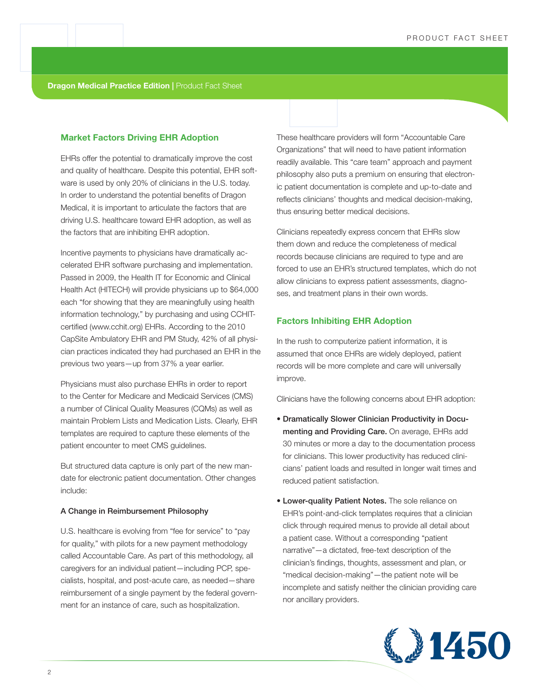# **Market Factors Driving EHR Adoption**

EHRs offer the potential to dramatically improve the cost and quality of healthcare. Despite this potential, EHR software is used by only 20% of clinicians in the U.S. today. In order to understand the potential benefits of Dragon Medical, it is important to articulate the factors that are driving U.S. healthcare toward EHR adoption, as well as the factors that are inhibiting EHR adoption.

Incentive payments to physicians have dramatically accelerated EHR software purchasing and implementation. Passed in 2009, the Health IT for Economic and Clinical Health Act (HITECH) will provide physicians up to \$64,000 each "for showing that they are meaningfully using health information technology," by purchasing and using CCHITcertified (www.cchit.org) EHRs. According to the 2010 CapSite Ambulatory EHR and PM Study, 42% of all physician practices indicated they had purchased an EHR in the previous two years—up from 37% a year earlier.

Physicians must also purchase EHRs in order to report to the Center for Medicare and Medicaid Services (CMS) a number of Clinical Quality Measures (CQMs) as well as maintain Problem Lists and Medication Lists. Clearly, EHR templates are required to capture these elements of the patient encounter to meet CMS guidelines.

But structured data capture is only part of the new mandate for electronic patient documentation. Other changes include:

#### A Change in Reimbursement Philosophy

U.S. healthcare is evolving from "fee for service" to "pay for quality," with pilots for a new payment methodology called Accountable Care. As part of this methodology, all caregivers for an individual patient—including PCP, specialists, hospital, and post-acute care, as needed—share reimbursement of a single payment by the federal government for an instance of care, such as hospitalization.

These healthcare providers will form "Accountable Care Organizations" that will need to have patient information readily available. This "care team" approach and payment philosophy also puts a premium on ensuring that electronic patient documentation is complete and up-to-date and reflects clinicians' thoughts and medical decision-making, thus ensuring better medical decisions.

Clinicians repeatedly express concern that EHRs slow them down and reduce the completeness of medical records because clinicians are required to type and are forced to use an EHR's structured templates, which do not allow clinicians to express patient assessments, diagnoses, and treatment plans in their own words.

# **Factors Inhibiting EHR Adoption**

In the rush to computerize patient information, it is assumed that once EHRs are widely deployed, patient records will be more complete and care will universally improve.

Clinicians have the following concerns about EHR adoption:

- Dramatically Slower Clinician Productivity in Documenting and Providing Care. On average, EHRs add 30 minutes or more a day to the documentation process for clinicians. This lower productivity has reduced clinicians' patient loads and resulted in longer wait times and reduced patient satisfaction.
- Lower-quality Patient Notes. The sole reliance on EHR's point-and-click templates requires that a clinician click through required menus to provide all detail about a patient case. Without a corresponding "patient narrative"—a dictated, free-text description of the clinician's findings, thoughts, assessment and plan, or "medical decision-making"—the patient note will be incomplete and satisfy neither the clinician providing care nor ancillary providers.

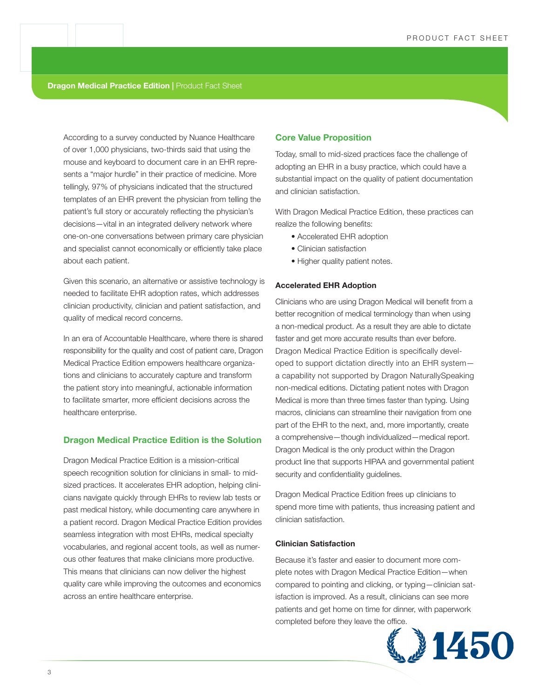According to a survey conducted by Nuance Healthcare of over 1,000 physicians, two-thirds said that using the mouse and keyboard to document care in an EHR represents a "major hurdle" in their practice of medicine. More tellingly, 97% of physicians indicated that the structured templates of an EHR prevent the physician from telling the patient's full story or accurately reflecting the physician's decisions—vital in an integrated delivery network where one-on-one conversations between primary care physician and specialist cannot economically or efficiently take place about each patient.

Given this scenario, an alternative or assistive technology is needed to facilitate EHR adoption rates, which addresses clinician productivity, clinician and patient satisfaction, and quality of medical record concerns.

In an era of Accountable Healthcare, where there is shared responsibility for the quality and cost of patient care, Dragon Medical Practice Edition empowers healthcare organizations and clinicians to accurately capture and transform the patient story into meaningful, actionable information to facilitate smarter, more efficient decisions across the healthcare enterprise.

# **Dragon Medical Practice Edition is the Solution**

Dragon Medical Practice Edition is a mission-critical speech recognition solution for clinicians in small- to midsized practices. It accelerates EHR adoption, helping clinicians navigate quickly through EHRs to review lab tests or past medical history, while documenting care anywhere in a patient record. Dragon Medical Practice Edition provides seamless integration with most EHRs, medical specialty vocabularies, and regional accent tools, as well as numerous other features that make clinicians more productive. This means that clinicians can now deliver the highest quality care while improving the outcomes and economics across an entire healthcare enterprise.

#### **Core Value Proposition**

Today, small to mid-sized practices face the challenge of adopting an EHR in a busy practice, which could have a substantial impact on the quality of patient documentation and clinician satisfaction.

With Dragon Medical Practice Edition, these practices can realize the following benefits:

- Accelerated EHR adoption
- Clinician satisfaction
- Higher quality patient notes.

# **Accelerated EHR Adoption**

Clinicians who are using Dragon Medical will benefit from a better recognition of medical terminology than when using a non-medical product. As a result they are able to dictate faster and get more accurate results than ever before. Dragon Medical Practice Edition is specifically developed to support dictation directly into an EHR system a capability not supported by Dragon NaturallySpeaking non-medical editions. Dictating patient notes with Dragon Medical is more than three times faster than typing. Using macros, clinicians can streamline their navigation from one part of the EHR to the next, and, more importantly, create a comprehensive—though individualized—medical report. Dragon Medical is the only product within the Dragon product line that supports HIPAA and governmental patient security and confidentiality guidelines.

Dragon Medical Practice Edition frees up clinicians to spend more time with patients, thus increasing patient and clinician satisfaction.

# **Clinician Satisfaction**

Because it's faster and easier to document more complete notes with Dragon Medical Practice Edition—when compared to pointing and clicking, or typing—clinician satisfaction is improved. As a result, clinicians can see more patients and get home on time for dinner, with paperwork completed before they leave the office.

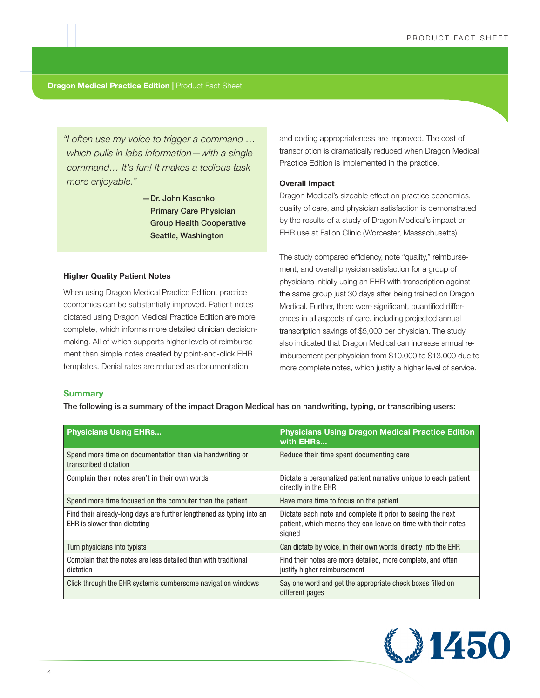*"I often use my voice to trigger a command … which pulls in labs information—with a single command… It's fun! It makes a tedious task more enjoyable."* 

> —Dr. John Kaschko Primary Care Physician Group Health Cooperative Seattle, Washington

#### **Higher Quality Patient Notes**

When using Dragon Medical Practice Edition, practice economics can be substantially improved. Patient notes dictated using Dragon Medical Practice Edition are more complete, which informs more detailed clinician decisionmaking. All of which supports higher levels of reimbursement than simple notes created by point-and-click EHR templates. Denial rates are reduced as documentation

and coding appropriateness are improved. The cost of transcription is dramatically reduced when Dragon Medical Practice Edition is implemented in the practice.

#### **Overall Impact**

Dragon Medical's sizeable effect on practice economics, quality of care, and physician satisfaction is demonstrated by the results of a study of Dragon Medical's impact on EHR use at Fallon Clinic (Worcester, Massachusetts).

The study compared efficiency, note "quality," reimbursement, and overall physician satisfaction for a group of physicians initially using an EHR with transcription against the same group just 30 days after being trained on Dragon Medical. Further, there were significant, quantified differences in all aspects of care, including projected annual transcription savings of \$5,000 per physician. The study also indicated that Dragon Medical can increase annual reimbursement per physician from \$10,000 to \$13,000 due to more complete notes, which justify a higher level of service.

# **Summary**

The following is a summary of the impact Dragon Medical has on handwriting, typing, or transcribing users:

| <b>Physicians Using EHRs</b>                                                                          | <b>Physicians Using Dragon Medical Practice Edition</b><br>with EHRs                                                                 |
|-------------------------------------------------------------------------------------------------------|--------------------------------------------------------------------------------------------------------------------------------------|
| Spend more time on documentation than via handwriting or<br>transcribed dictation                     | Reduce their time spent documenting care                                                                                             |
| Complain their notes aren't in their own words                                                        | Dictate a personalized patient narrative unique to each patient<br>directly in the EHR                                               |
| Spend more time focused on the computer than the patient                                              | Have more time to focus on the patient                                                                                               |
| Find their already-long days are further lengthened as typing into an<br>EHR is slower than dictating | Dictate each note and complete it prior to seeing the next<br>patient, which means they can leave on time with their notes<br>signed |
| Turn physicians into typists                                                                          | Can dictate by voice, in their own words, directly into the EHR                                                                      |
| Complain that the notes are less detailed than with traditional<br>dictation                          | Find their notes are more detailed, more complete, and often<br>justify higher reimbursement                                         |
| Click through the EHR system's cumbersome navigation windows                                          | Say one word and get the appropriate check boxes filled on<br>different pages                                                        |

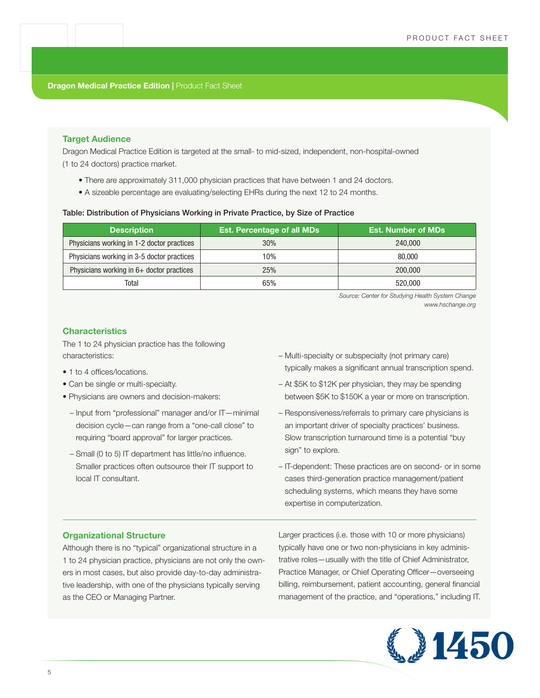# **Target Audience**

Dragon Medical Practice Edition is targeted at the small- to mid-sized, independent, non-hospital-owned (1 to 24 doctors) practice market.

- There are approximately 311,000 physician practices that have between 1 and 24 doctors.
- A sizeable percentage are evaluating/selecting EHRs during the next 12 to 24 months.

# Table: Distribution of Physicians Working in Private Practice, by Size of Practice

| <b>Description</b>                         | <b>Est. Percentage of all MDs</b> | <b>Est. Number of MDs</b> |
|--------------------------------------------|-----------------------------------|---------------------------|
| Physicians working in 1-2 doctor practices | 30%                               | 240,000                   |
| Physicians working in 3-5 doctor practices | 10%                               | 80,000                    |
| Physicians working in 6+ doctor practices  | 25%                               | 200,000                   |
| Total                                      | 65%                               | 520,000                   |

 *Source: Center for Studying Health System Change www.hschange.org*

# **Characteristics**

The 1 to 24 physician practice has the following characteristics:

- 1 to 4 offices/locations.
- Can be single or multi-specialty.
- Physicians are owners and decision-makers:
	- Input from "professional" manager and/or IT—minimal decision cycle—can range from a "one-call close" to requiring "board approval" for larger practices.
	- Small (0 to 5) IT department has little/no influence. Smaller practices often outsource their IT support to local IT consultant.
- Multi-specialty or subspecialty (not primary care) typically makes a significant annual transcription spend.
- At \$5K to \$12K per physician, they may be spending between \$5K to \$150K a year or more on transcription.
- Responsiveness/referrals to primary care physicians is an important driver of specialty practices' business. Slow transcription turnaround time is a potential "buy sign" to explore.
- IT-dependent: These practices are on second- or in some cases third-generation practice management/patient scheduling systems, which means they have some expertise in computerization.

# **Organizational Structure**

Although there is no "typical" organizational structure in a 1 to 24 physician practice, physicians are not only the owners in most cases, but also provide day-to-day administrative leadership, with one of the physicians typically serving as the CEO or Managing Partner.

Larger practices (i.e. those with 10 or more physicians) typically have one or two non-physicians in key administrative roles—usually with the title of Chief Administrator, Practice Manager, or Chief Operating Officer—overseeing billing, reimbursement, patient accounting, general financial management of the practice, and "operations," including IT.

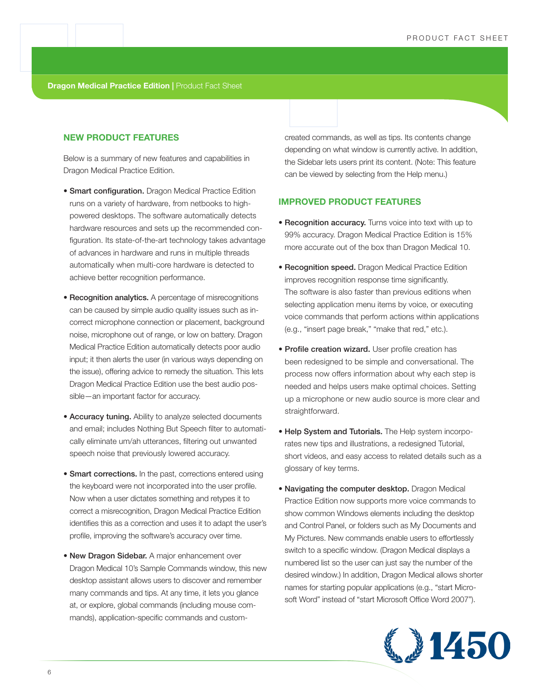# **NEW PRODUCT FEATURES**

Below is a summary of new features and capabilities in Dragon Medical Practice Edition.

- **Smart configuration.** Dragon Medical Practice Edition runs on a variety of hardware, from netbooks to highpowered desktops. The software automatically detects hardware resources and sets up the recommended configuration. Its state-of-the-art technology takes advantage of advances in hardware and runs in multiple threads automatically when multi-core hardware is detected to achieve better recognition performance.
- Recognition analytics. A percentage of misrecognitions can be caused by simple audio quality issues such as incorrect microphone connection or placement, background noise, microphone out of range, or low on battery. Dragon Medical Practice Edition automatically detects poor audio input; it then alerts the user (in various ways depending on the issue), offering advice to remedy the situation. This lets Dragon Medical Practice Edition use the best audio possible—an important factor for accuracy.
- Accuracy tuning. Ability to analyze selected documents and email; includes Nothing But Speech filter to automatically eliminate um/ah utterances, filtering out unwanted speech noise that previously lowered accuracy.
- Smart corrections. In the past, corrections entered using the keyboard were not incorporated into the user profile. Now when a user dictates something and retypes it to correct a misrecognition, Dragon Medical Practice Edition identifies this as a correction and uses it to adapt the user's profile, improving the software's accuracy over time.
- New Dragon Sidebar. A major enhancement over Dragon Medical 10's Sample Commands window, this new desktop assistant allows users to discover and remember many commands and tips. At any time, it lets you glance at, or explore, global commands (including mouse commands), application-specific commands and custom-

created commands, as well as tips. Its contents change depending on what window is currently active. In addition, the Sidebar lets users print its content. (Note: This feature can be viewed by selecting from the Help menu.)

# **IMPROVED PRODUCT FEATURES**

- Recognition accuracy. Turns voice into text with up to 99% accuracy. Dragon Medical Practice Edition is 15% more accurate out of the box than Dragon Medical 10.
- Recognition speed. Dragon Medical Practice Edition improves recognition response time significantly. The software is also faster than previous editions when selecting application menu items by voice, or executing voice commands that perform actions within applications (e.g., "insert page break," "make that red," etc.).
- Profile creation wizard. User profile creation has been redesigned to be simple and conversational. The process now offers information about why each step is needed and helps users make optimal choices. Setting up a microphone or new audio source is more clear and straightforward.
- Help System and Tutorials. The Help system incorporates new tips and illustrations, a redesigned Tutorial, short videos, and easy access to related details such as a glossary of key terms.
- Navigating the computer desktop. Dragon Medical Practice Edition now supports more voice commands to show common Windows elements including the desktop and Control Panel, or folders such as My Documents and My Pictures. New commands enable users to effortlessly switch to a specific window. (Dragon Medical displays a numbered list so the user can just say the number of the desired window.) In addition, Dragon Medical allows shorter names for starting popular applications (e.g., "start Microsoft Word" instead of "start Microsoft Office Word 2007").

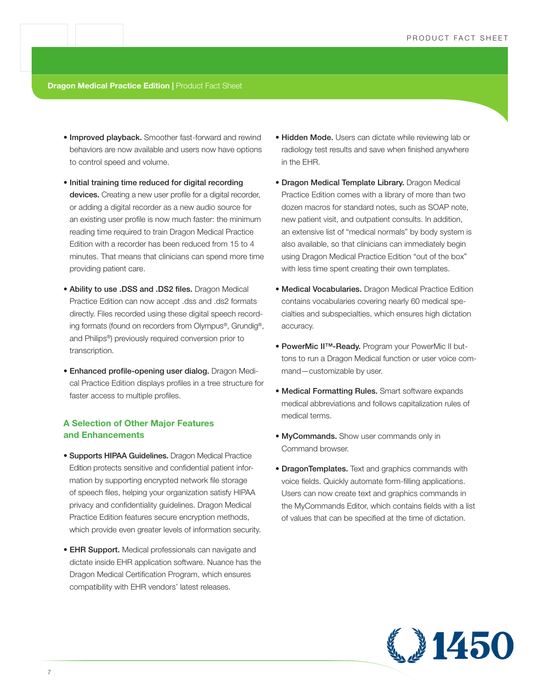- Improved playback. Smoother fast-forward and rewind behaviors are now available and users now have options to control speed and volume.
- Initial training time reduced for digital recording devices. Creating a new user profile for a digital recorder, or adding a digital recorder as a new audio source for an existing user profile is now much faster: the minimum reading time required to train Dragon Medical Practice Edition with a recorder has been reduced from 15 to 4 minutes. That means that clinicians can spend more time providing patient care.
- Ability to use .DSS and .DS2 files. Dragon Medical Practice Edition can now accept .dss and .ds2 formats directly. Files recorded using these digital speech recording formats (found on recorders from Olympus®, Grundig®, and Philips®) previously required conversion prior to transcription.
- Enhanced profile-opening user dialog. Dragon Medical Practice Edition displays profiles in a tree structure for faster access to multiple profiles.

# **A Selection of Other Major Features and Enhancements**

- Supports HIPAA Guidelines. Dragon Medical Practice Edition protects sensitive and confidential patient information by supporting encrypted network file storage of speech files, helping your organization satisfy HIPAA privacy and confidentiality guidelines. Dragon Medical Practice Edition features secure encryption methods, which provide even greater levels of information security.
- **EHR Support.** Medical professionals can navigate and dictate inside EHR application software. Nuance has the Dragon Medical Certification Program, which ensures compatibility with EHR vendors' latest releases.
- Hidden Mode. Users can dictate while reviewing lab or radiology test results and save when finished anywhere in the EHR.
- Dragon Medical Template Library. Dragon Medical Practice Edition comes with a library of more than two dozen macros for standard notes, such as SOAP note, new patient visit, and outpatient consults. In addition, an extensive list of "medical normals" by body system is also available, so that clinicians can immediately begin using Dragon Medical Practice Edition "out of the box" with less time spent creating their own templates.
- Medical Vocabularies. Dragon Medical Practice Edition contains vocabularies covering nearly 60 medical specialties and subspecialties, which ensures high dictation accuracy.
- PowerMic II™-Ready. Program your PowerMic II buttons to run a Dragon Medical function or user voice command—customizable by user.
- Medical Formatting Rules. Smart software expands medical abbreviations and follows capitalization rules of medical terms.
- MyCommands. Show user commands only in Command browser.
- DragonTemplates. Text and graphics commands with voice fields. Quickly automate form-filling applications. Users can now create text and graphics commands in the MyCommands Editor, which contains fields with a list of values that can be specified at the time of dictation.

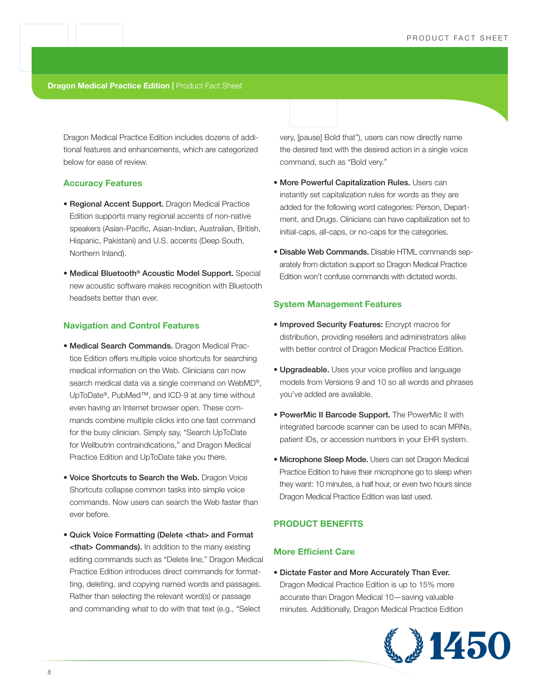Dragon Medical Practice Edition includes dozens of additional features and enhancements, which are categorized below for ease of review.

# **Accuracy Features**

- Regional Accent Support. Dragon Medical Practice Edition supports many regional accents of non-native speakers (Asian-Pacific, Asian-Indian, Australian, British, Hispanic, Pakistani) and U.S. accents (Deep South, Northern Inland).
- Medical Bluetooth® Acoustic Model Support. Special new acoustic software makes recognition with Bluetooth headsets better than ever.

# **Navigation and Control Features**

- Medical Search Commands. Dragon Medical Practice Edition offers multiple voice shortcuts for searching medical information on the Web. Clinicians can now search medical data via a single command on WebMD®, UpToDate®, PubMed™, and ICD-9 at any time without even having an Internet browser open. These commands combine multiple clicks into one fast command for the busy clinician. Simply say, "Search UpToDate for Wellbutrin contraindications," and Dragon Medical Practice Edition and UpToDate take you there.
- Voice Shortcuts to Search the Web. Dragon Voice Shortcuts collapse common tasks into simple voice commands. Now users can search the Web faster than ever before.
- Quick Voice Formatting (Delete <that> and Format **<that> Commands).** In addition to the many existing editing commands such as "Delete line," Dragon Medical Practice Edition introduces direct commands for formatting, deleting, and copying named words and passages. Rather than selecting the relevant word(s) or passage and commanding what to do with that text (e.g., "Select

very, [pause] Bold that"), users can now directly name the desired text with the desired action in a single voice command, such as "Bold very."

- More Powerful Capitalization Rules. Users can instantly set capitalization rules for words as they are added for the following word categories: Person, Department, and Drugs. Clinicians can have capitalization set to initial-caps, all-caps, or no-caps for the categories.
- Disable Web Commands. Disable HTML commands separately from dictation support so Dragon Medical Practice Edition won't confuse commands with dictated words.

# **System Management Features**

- Improved Security Features: Encrypt macros for distribution, providing resellers and administrators alike with better control of Dragon Medical Practice Edition.
- Upgradeable. Uses your voice profiles and language models from Versions 9 and 10 so all words and phrases you've added are available.
- PowerMic II Barcode Support. The PowerMic II with integrated barcode scanner can be used to scan MRNs, patient IDs, or accession numbers in your EHR system.
- Microphone Sleep Mode. Users can set Dragon Medical Practice Edition to have their microphone go to sleep when they want: 10 minutes, a half hour, or even two hours since Dragon Medical Practice Edition was last used.

# **PRODUCT BENEFITS**

# **More Efficient Care**

• Dictate Faster and More Accurately Than Ever. Dragon Medical Practice Edition is up to 15% more accurate than Dragon Medical 10—saving valuable minutes. Additionally, Dragon Medical Practice Edition

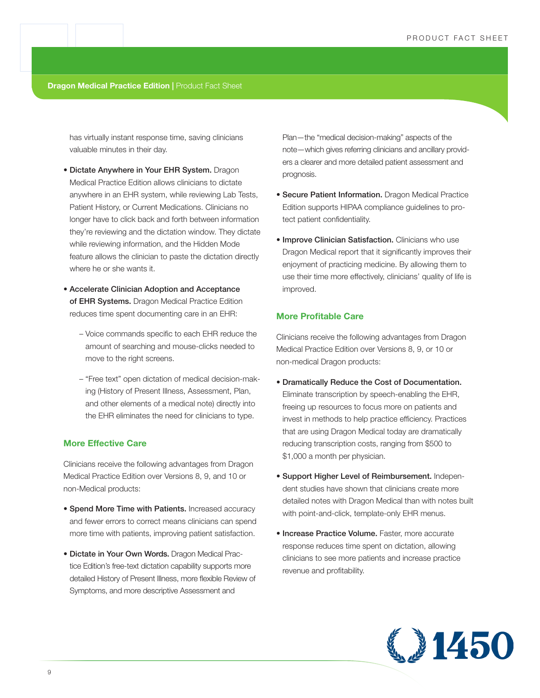has virtually instant response time, saving clinicians valuable minutes in their day.

- Dictate Anywhere in Your EHR System. Dragon Medical Practice Edition allows clinicians to dictate anywhere in an EHR system, while reviewing Lab Tests, Patient History, or Current Medications. Clinicians no longer have to click back and forth between information they're reviewing and the dictation window. They dictate while reviewing information, and the Hidden Mode feature allows the clinician to paste the dictation directly where he or she wants it.
- Accelerate Clinician Adoption and Acceptance of EHR Systems. Dragon Medical Practice Edition reduces time spent documenting care in an EHR:
	- Voice commands specific to each EHR reduce the amount of searching and mouse-clicks needed to move to the right screens.
	- "Free text" open dictation of medical decision-making (History of Present Illness, Assessment, Plan, and other elements of a medical note) directly into the EHR eliminates the need for clinicians to type.

# **More Effective Care**

Clinicians receive the following advantages from Dragon Medical Practice Edition over Versions 8, 9, and 10 or non-Medical products:

- Spend More Time with Patients. Increased accuracy and fewer errors to correct means clinicians can spend more time with patients, improving patient satisfaction.
- Dictate in Your Own Words. Dragon Medical Practice Edition's free-text dictation capability supports more detailed History of Present Illness, more flexible Review of Symptoms, and more descriptive Assessment and

Plan—the "medical decision-making" aspects of the note—which gives referring clinicians and ancillary providers a clearer and more detailed patient assessment and prognosis.

- Secure Patient Information. Dragon Medical Practice Edition supports HIPAA compliance guidelines to protect patient confidentiality.
- Improve Clinician Satisfaction. Clinicians who use Dragon Medical report that it significantly improves their enjoyment of practicing medicine. By allowing them to use their time more effectively, clinicians' quality of life is improved.

# **More Profitable Care**

Clinicians receive the following advantages from Dragon Medical Practice Edition over Versions 8, 9, or 10 or non-medical Dragon products:

- Dramatically Reduce the Cost of Documentation. Eliminate transcription by speech-enabling the EHR, freeing up resources to focus more on patients and invest in methods to help practice efficiency. Practices that are using Dragon Medical today are dramatically reducing transcription costs, ranging from \$500 to \$1,000 a month per physician.
- Support Higher Level of Reimbursement. Independent studies have shown that clinicians create more detailed notes with Dragon Medical than with notes built with point-and-click, template-only EHR menus.
- Increase Practice Volume. Faster, more accurate response reduces time spent on dictation, allowing clinicians to see more patients and increase practice revenue and profitability.

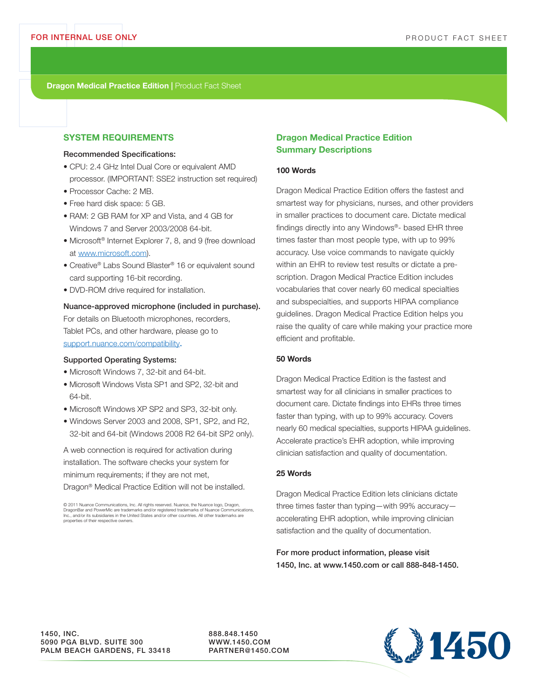# **SYSTEM REQUIREMENTS**

# Recommended Specifications:

- CPU: 2.4 GHz Intel Dual Core or equivalent AMD processor. (IMPORTANT: SSE2 instruction set required)
- Processor Cache: 2 MB.
- Free hard disk space: 5 GB.
- RAM: 2 GB RAM for XP and Vista, and 4 GB for Windows 7 and Server 2003/2008 64-bit.
- Microsoft<sup>®</sup> Internet Explorer 7, 8, and 9 (free download at www.microsoft.com).
- Creative® Labs Sound Blaster® 16 or equivalent sound card supporting 16-bit recording.
- DVD-ROM drive required for installation.

# Nuance-approved microphone (included in purchase).

For details on Bluetooth microphones, recorders, Tablet PCs, and other hardware, please go to support.nuance.com/compatibility.

#### Supported Operating Systems:

- Microsoft Windows 7, 32-bit and 64-bit.
- Microsoft Windows Vista SP1 and SP2, 32-bit and 64-bit.
- Microsoft Windows XP SP2 and SP3, 32-bit only.
- Windows Server 2003 and 2008, SP1, SP2, and R2, 32-bit and 64-bit (Windows 2008 R2 64-bit SP2 only).

A web connection is required for activation during installation. The software checks your system for minimum requirements; if they are not met,

Dragon® Medical Practice Edition will not be installed.

© 2011 Nuance Communications, Inc. All rights reserved. Nuance, the Nuance logo, Dragon, DragonBar and PowerMic are trademarks and/or registered trademarks of Nuance Communications, Inc., and/or its subsidiaries in the United States and/or other countries. All other trademarks are properties of their respective owners.

# **Dragon Medical Practice Edition Summary Descriptions**

# **100 Words**

Dragon Medical Practice Edition offers the fastest and smartest way for physicians, nurses, and other providers in smaller practices to document care. Dictate medical findings directly into any Windows®- based EHR three times faster than most people type, with up to 99% accuracy. Use voice commands to navigate quickly within an EHR to review test results or dictate a prescription. Dragon Medical Practice Edition includes vocabularies that cover nearly 60 medical specialties and subspecialties, and supports HIPAA compliance guidelines. Dragon Medical Practice Edition helps you raise the quality of care while making your practice more efficient and profitable.

# **50 Words**

Dragon Medical Practice Edition is the fastest and smartest way for all clinicians in smaller practices to document care. Dictate findings into EHRs three times faster than typing, with up to 99% accuracy. Covers nearly 60 medical specialties, supports HIPAA guidelines. Accelerate practice's EHR adoption, while improving clinician satisfaction and quality of documentation.

# **25 Words**

Dragon Medical Practice Edition lets clinicians dictate three times faster than typing—with 99% accuracy accelerating EHR adoption, while improving clinician satisfaction and the quality of documentation.

For more product information, please visit 1450, Inc. at www.1450.com or call 888-848-1450.

1450, INC. 5090 PGA BLVD. SUITE 300 PALM BEACH GARDENS, FL 33418 888.848.1450 WWW.1450.COM PARTNER@1450.COM